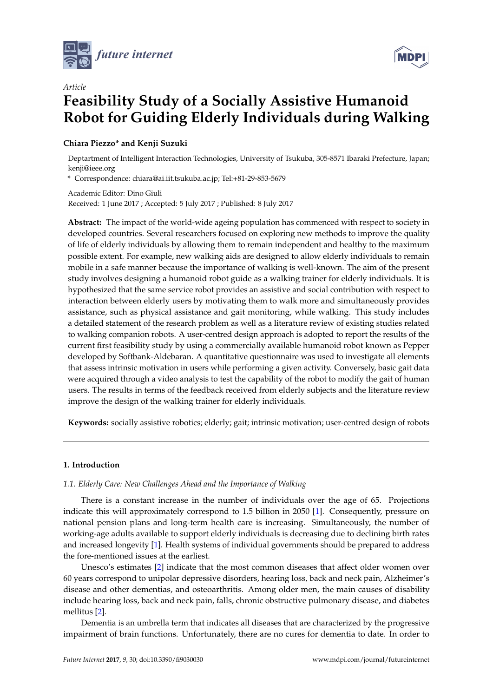



# *Article* **Feasibility Study of a Socially Assistive Humanoid Robot for Guiding Elderly Individuals during Walking**

# **Chiara Piezzo\* and Kenji Suzuki**

Deptartment of Intelligent Interaction Technologies, University of Tsukuba, 305-8571 Ibaraki Prefecture, Japan; kenji@ieee.org

**\*** Correspondence: chiara@ai.iit.tsukuba.ac.jp; Tel:+81-29-853-5679

Academic Editor: Dino Giuli Received: 1 June 2017 ; Accepted: 5 July 2017 ; Published: 8 July 2017

**Abstract:** The impact of the world-wide ageing population has commenced with respect to society in developed countries. Several researchers focused on exploring new methods to improve the quality of life of elderly individuals by allowing them to remain independent and healthy to the maximum possible extent. For example, new walking aids are designed to allow elderly individuals to remain mobile in a safe manner because the importance of walking is well-known. The aim of the present study involves designing a humanoid robot guide as a walking trainer for elderly individuals. It is hypothesized that the same service robot provides an assistive and social contribution with respect to interaction between elderly users by motivating them to walk more and simultaneously provides assistance, such as physical assistance and gait monitoring, while walking. This study includes a detailed statement of the research problem as well as a literature review of existing studies related to walking companion robots. A user-centred design approach is adopted to report the results of the current first feasibility study by using a commercially available humanoid robot known as Pepper developed by Softbank-Aldebaran. A quantitative questionnaire was used to investigate all elements that assess intrinsic motivation in users while performing a given activity. Conversely, basic gait data were acquired through a video analysis to test the capability of the robot to modify the gait of human users. The results in terms of the feedback received from elderly subjects and the literature review improve the design of the walking trainer for elderly individuals.

**Keywords:** socially assistive robotics; elderly; gait; intrinsic motivation; user-centred design of robots

# <span id="page-0-1"></span>**1. Introduction**

# <span id="page-0-0"></span>*1.1. Elderly Care: New Challenges Ahead and the Importance of Walking*

There is a constant increase in the number of individuals over the age of 65. Projections indicate this will approximately correspond to 1.5 billion in 2050 [\[1\]](#page-12-0). Consequently, pressure on national pension plans and long-term health care is increasing. Simultaneously, the number of working-age adults available to support elderly individuals is decreasing due to declining birth rates and increased longevity [\[1\]](#page-12-0). Health systems of individual governments should be prepared to address the fore-mentioned issues at the earliest.

Unesco's estimates [\[2\]](#page-12-1) indicate that the most common diseases that affect older women over 60 years correspond to unipolar depressive disorders, hearing loss, back and neck pain, Alzheimer's disease and other dementias, and osteoarthritis. Among older men, the main causes of disability include hearing loss, back and neck pain, falls, chronic obstructive pulmonary disease, and diabetes mellitus [\[2\]](#page-12-1).

Dementia is an umbrella term that indicates all diseases that are characterized by the progressive impairment of brain functions. Unfortunately, there are no cures for dementia to date. In order to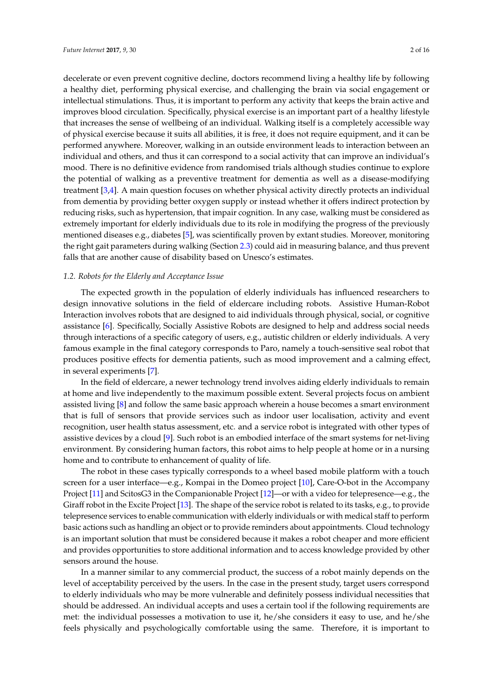decelerate or even prevent cognitive decline, doctors recommend living a healthy life by following a healthy diet, performing physical exercise, and challenging the brain via social engagement or intellectual stimulations. Thus, it is important to perform any activity that keeps the brain active and improves blood circulation. Specifically, physical exercise is an important part of a healthy lifestyle that increases the sense of wellbeing of an individual. Walking itself is a completely accessible way of physical exercise because it suits all abilities, it is free, it does not require equipment, and it can be performed anywhere. Moreover, walking in an outside environment leads to interaction between an individual and others, and thus it can correspond to a social activity that can improve an individual's mood. There is no definitive evidence from randomised trials although studies continue to explore the potential of walking as a preventive treatment for dementia as well as a disease-modifying treatment [\[3,](#page-12-2)[4\]](#page-12-3). A main question focuses on whether physical activity directly protects an individual from dementia by providing better oxygen supply or instead whether it offers indirect protection by reducing risks, such as hypertension, that impair cognition. In any case, walking must be considered as extremely important for elderly individuals due to its role in modifying the progress of the previously mentioned diseases e.g., diabetes [\[5\]](#page-12-4), was scientifically proven by extant studies. Moreover, monitoring the right gait parameters during walking (Section [2.3\)](#page-5-0) could aid in measuring balance, and thus prevent falls that are another cause of disability based on Unesco's estimates.

# <span id="page-1-0"></span>*1.2. Robots for the Elderly and Acceptance Issue*

The expected growth in the population of elderly individuals has influenced researchers to design innovative solutions in the field of eldercare including robots. Assistive Human-Robot Interaction involves robots that are designed to aid individuals through physical, social, or cognitive assistance [\[6\]](#page-12-5). Specifically, Socially Assistive Robots are designed to help and address social needs through interactions of a specific category of users, e.g., autistic children or elderly individuals. A very famous example in the final category corresponds to Paro, namely a touch-sensitive seal robot that produces positive effects for dementia patients, such as mood improvement and a calming effect, in several experiments [\[7\]](#page-13-0).

In the field of eldercare, a newer technology trend involves aiding elderly individuals to remain at home and live independently to the maximum possible extent. Several projects focus on ambient assisted living [\[8\]](#page-13-1) and follow the same basic approach wherein a house becomes a smart environment that is full of sensors that provide services such as indoor user localisation, activity and event recognition, user health status assessment, etc. and a service robot is integrated with other types of assistive devices by a cloud [\[9\]](#page-13-2). Such robot is an embodied interface of the smart systems for net-living environment. By considering human factors, this robot aims to help people at home or in a nursing home and to contribute to enhancement of quality of life.

The robot in these cases typically corresponds to a wheel based mobile platform with a touch screen for a user interface—e.g., Kompai in the Domeo project [\[10\]](#page-13-3), Care-O-bot in the Accompany Project [\[11\]](#page-13-4) and ScitosG3 in the Companionable Project [\[12\]](#page-13-5)—or with a video for telepresence—e.g., the Giraff robot in the Excite Project [\[13\]](#page-13-6). The shape of the service robot is related to its tasks, e.g., to provide telepresence services to enable communication with elderly individuals or with medical staff to perform basic actions such as handling an object or to provide reminders about appointments. Cloud technology is an important solution that must be considered because it makes a robot cheaper and more efficient and provides opportunities to store additional information and to access knowledge provided by other sensors around the house.

In a manner similar to any commercial product, the success of a robot mainly depends on the level of acceptability perceived by the users. In the case in the present study, target users correspond to elderly individuals who may be more vulnerable and definitely possess individual necessities that should be addressed. An individual accepts and uses a certain tool if the following requirements are met: the individual possesses a motivation to use it, he/she considers it easy to use, and he/she feels physically and psychologically comfortable using the same. Therefore, it is important to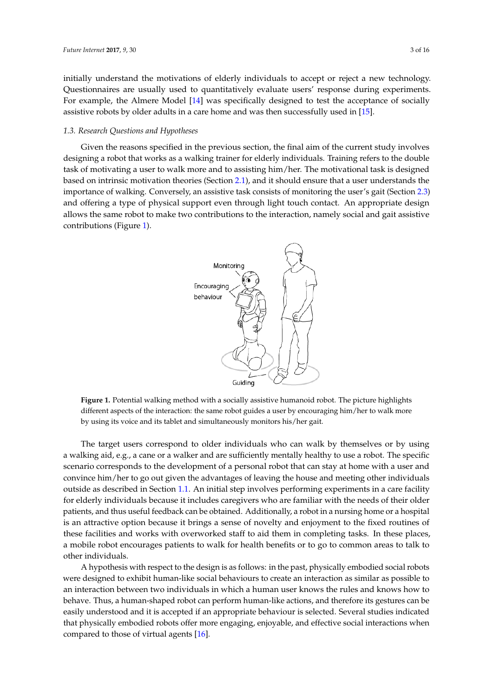initially understand the motivations of elderly individuals to accept or reject a new technology. Questionnaires are usually used to quantitatively evaluate users' response during experiments. For example, the Almere Model [\[14\]](#page-13-7) was specifically designed to test the acceptance of socially assistive robots by older adults in a care home and was then successfully used in [\[15\]](#page-13-8).

## <span id="page-2-1"></span>*1.3. Research Questions and Hypotheses*

<span id="page-2-0"></span>Given the reasons specified in the previous section, the final aim of the current study involves designing a robot that works as a walking trainer for elderly individuals. Training refers to the double task of motivating a user to walk more and to assisting him/her. The motivational task is designed based on intrinsic motivation theories (Section [2.1\)](#page-3-0), and it should ensure that a user understands the importance of walking. Conversely, an assistive task consists of monitoring the user's gait (Section [2.3\)](#page-5-0) and offering a type of physical support even through light touch contact. An appropriate design allows the same robot to make two contributions to the interaction, namely social and gait assistive contributions (Figure [1\)](#page-2-0).



**Figure 1.** Potential walking method with a socially assistive humanoid robot. The picture highlights different aspects of the interaction: the same robot guides a user by encouraging him/her to walk more by using its voice and its tablet and simultaneously monitors his/her gait.

The target users correspond to older individuals who can walk by themselves or by using a walking aid, e.g., a cane or a walker and are sufficiently mentally healthy to use a robot. The specific scenario corresponds to the development of a personal robot that can stay at home with a user and convince him/her to go out given the advantages of leaving the house and meeting other individuals outside as described in Section [1.1.](#page-0-0) An initial step involves performing experiments in a care facility for elderly individuals because it includes caregivers who are familiar with the needs of their older patients, and thus useful feedback can be obtained. Additionally, a robot in a nursing home or a hospital is an attractive option because it brings a sense of novelty and enjoyment to the fixed routines of these facilities and works with overworked staff to aid them in completing tasks. In these places, a mobile robot encourages patients to walk for health benefits or to go to common areas to talk to other individuals.

A hypothesis with respect to the design is as follows: in the past, physically embodied social robots were designed to exhibit human-like social behaviours to create an interaction as similar as possible to an interaction between two individuals in which a human user knows the rules and knows how to behave. Thus, a human-shaped robot can perform human-like actions, and therefore its gestures can be easily understood and it is accepted if an appropriate behaviour is selected. Several studies indicated that physically embodied robots offer more engaging, enjoyable, and effective social interactions when compared to those of virtual agents [\[16\]](#page-13-9).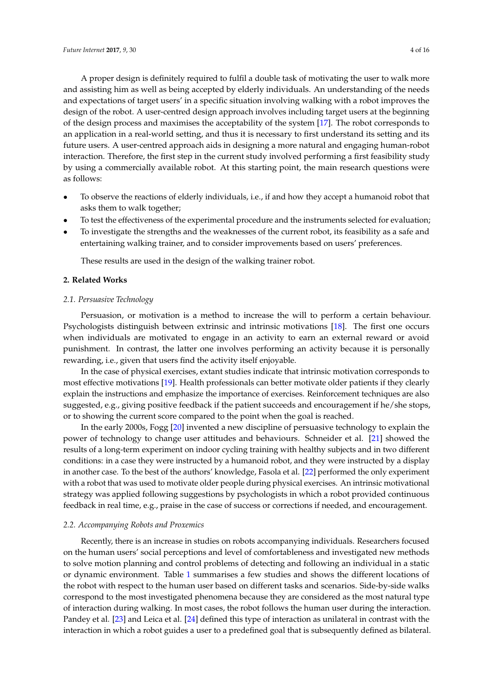A proper design is definitely required to fulfil a double task of motivating the user to walk more and assisting him as well as being accepted by elderly individuals. An understanding of the needs and expectations of target users' in a specific situation involving walking with a robot improves the design of the robot. A user-centred design approach involves including target users at the beginning of the design process and maximises the acceptability of the system [\[17\]](#page-13-10). The robot corresponds to an application in a real-world setting, and thus it is necessary to first understand its setting and its future users. A user-centred approach aids in designing a more natural and engaging human-robot interaction. Therefore, the first step in the current study involved performing a first feasibility study by using a commercially available robot. At this starting point, the main research questions were as follows:

- To observe the reactions of elderly individuals, i.e., if and how they accept a humanoid robot that asks them to walk together;
- To test the effectiveness of the experimental procedure and the instruments selected for evaluation;
- To investigate the strengths and the weaknesses of the current robot, its feasibility as a safe and entertaining walking trainer, and to consider improvements based on users' preferences.

These results are used in the design of the walking trainer robot.

#### <span id="page-3-1"></span>**2. Related Works**

#### <span id="page-3-0"></span>*2.1. Persuasive Technology*

Persuasion, or motivation is a method to increase the will to perform a certain behaviour. Psychologists distinguish between extrinsic and intrinsic motivations [\[18\]](#page-13-11). The first one occurs when individuals are motivated to engage in an activity to earn an external reward or avoid punishment. In contrast, the latter one involves performing an activity because it is personally rewarding, i.e., given that users find the activity itself enjoyable.

In the case of physical exercises, extant studies indicate that intrinsic motivation corresponds to most effective motivations [\[19\]](#page-13-12). Health professionals can better motivate older patients if they clearly explain the instructions and emphasize the importance of exercises. Reinforcement techniques are also suggested, e.g., giving positive feedback if the patient succeeds and encouragement if he/she stops, or to showing the current score compared to the point when the goal is reached.

In the early 2000s, Fogg [\[20\]](#page-13-13) invented a new discipline of persuasive technology to explain the power of technology to change user attitudes and behaviours. Schneider et al. [\[21\]](#page-13-14) showed the results of a long-term experiment on indoor cycling training with healthy subjects and in two different conditions: in a case they were instructed by a humanoid robot, and they were instructed by a display in another case. To the best of the authors' knowledge, Fasola et al. [\[22\]](#page-13-15) performed the only experiment with a robot that was used to motivate older people during physical exercises. An intrinsic motivational strategy was applied following suggestions by psychologists in which a robot provided continuous feedback in real time, e.g., praise in the case of success or corrections if needed, and encouragement.

## *2.2. Accompanying Robots and Proxemics*

Recently, there is an increase in studies on robots accompanying individuals. Researchers focused on the human users' social perceptions and level of comfortableness and investigated new methods to solve motion planning and control problems of detecting and following an individual in a static or dynamic environment. Table [1](#page-4-0) summarises a few studies and shows the different locations of the robot with respect to the human user based on different tasks and scenarios. Side-by-side walks correspond to the most investigated phenomena because they are considered as the most natural type of interaction during walking. In most cases, the robot follows the human user during the interaction. Pandey et al. [\[23\]](#page-13-16) and Leica et al. [\[24\]](#page-13-17) defined this type of interaction as unilateral in contrast with the interaction in which a robot guides a user to a predefined goal that is subsequently defined as bilateral.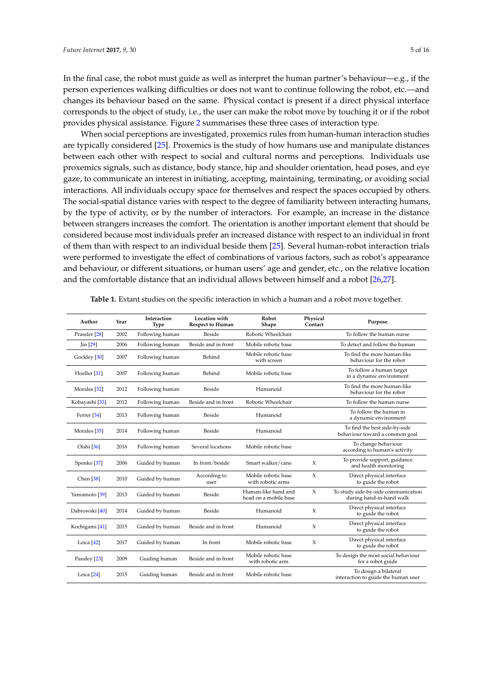In the final case, the robot must guide as well as interpret the human partner's behaviour—e.g., if the person experiences walking difficulties or does not want to continue following the robot, etc.—and changes its behaviour based on the same. Physical contact is present if a direct physical interface corresponds to the object of study, i.e., the user can make the robot move by touching it or if the robot provides physical assistance. Figure [2](#page-5-1) summarises these three cases of interaction type.

When social perceptions are investigated, proxemics rules from human-human interaction studies are typically considered [\[25\]](#page-13-18). Proxemics is the study of how humans use and manipulate distances between each other with respect to social and cultural norms and perceptions. Individuals use proxemics signals, such as distance, body stance, hip and shoulder orientation, head poses, and eye gaze, to communicate an interest in initiating, accepting, maintaining, terminating, or avoiding social interactions. All individuals occupy space for themselves and respect the spaces occupied by others. The social-spatial distance varies with respect to the degree of familiarity between interacting humans, by the type of activity, or by the number of interactors. For example, an increase in the distance between strangers increases the comfort. The orientation is another important element that should be considered because most individuals prefer an increased distance with respect to an individual in front of them than with respect to an individual beside them [\[25\]](#page-13-18). Several human-robot interaction trials were performed to investigate the effect of combinations of various factors, such as robot's appearance and behaviour, or different situations, or human users' age and gender, etc., on the relative location and the comfortable distance that an individual allows between himself and a robot [\[26,](#page-13-19)[27\]](#page-13-20).

<span id="page-4-0"></span>

| Author                    | Year | Interaction<br><b>Type</b> | <b>Location</b> with<br><b>Respect to Human</b> | Robot<br>Shape                               | Physical<br>Contact | Purpose                                                         |
|---------------------------|------|----------------------------|-------------------------------------------------|----------------------------------------------|---------------------|-----------------------------------------------------------------|
| Prassler [28]             | 2002 | Following human            | Beside                                          | Robotic Wheelchair                           |                     | To follow the human nurse                                       |
| $\operatorname{lin}[29]$  | 2006 | Following human            | Beside and in front                             | Mobile robotic base                          |                     | To detect and follow the human                                  |
| Gockley [30]              | 2007 | Following human            | Behind                                          | Mobile robotic base<br>with screen           |                     | To find the more human-like<br>behaviour for the robot          |
| Hoeller [31]              | 2007 | Following human            | Behind                                          | Mobile robotic base                          |                     | To follow a human target<br>in a dynamic environment            |
| Morales [32]              | 2012 | Following human            | Beside                                          | Humanoid                                     |                     | To find the more human-like<br>behaviour for the robot          |
| Kobayashi [33]            | 2012 | Following human            | Beside and in front                             | Robotic Wheelchair                           |                     | To follow the human nurse                                       |
| Ferrer <sup>[34]</sup>    | 2013 | Following human            | Beside                                          | Humanoid                                     |                     | To follow the human in<br>a dynamic environment                 |
| Morales [35]              | 2014 | Following human            | Beside                                          | Humanoid                                     |                     | To find the best side-by-side<br>behaviour toward a common goal |
| Oishi [36]                | 2016 | Following human            | Several locations                               | Mobile robotic base                          |                     | To change behaviour<br>according to human's activity            |
| Spenko <sup>[37]</sup>    | 2006 | Guided by human            | In front/beside                                 | Smart walker/cane                            | $\chi$              | To provide support, guidance<br>and health monitoring           |
| Chen <sup>[38]</sup>      | 2010 | Guided by human            | According to<br>user                            | Mobile robotic base<br>with robotic arms     | $\chi$              | Direct physical interface<br>to guide the robot                 |
| Yamamoto <sup>[39]</sup>  | 2013 | Guided by human            | Beside                                          | Human-like hand and<br>head on a mobile base | $\chi$              | To study side-by-side communication<br>during hand-in-hand walk |
| Dabrowski [40]            | 2014 | Guided by human            | Beside                                          | Humanoid                                     | $\chi$              | Direct physical interface<br>to guide the robot                 |
| Kochigami <sup>[41]</sup> | 2015 | Guided by human            | Beside and in front                             | Humanoid                                     | X                   | Direct physical interface<br>to guide the robot                 |
| Leica <sup>[42]</sup>     | 2017 | Guided by human            | In front                                        | Mobile robotic base                          | $\chi$              | Direct physical interface<br>to guide the robot                 |
| Pandey [23]               | 2009 | Guiding human              | Beside and in front                             | Mobile robotic base<br>with robotic arm      |                     | To design the most social behaviour<br>for a robot guide        |
| Leica <sup>[24]</sup>     | 2015 | Guiding human              | Beside and in front                             | Mobile robotic base                          |                     | To design a bilateral<br>interaction to guide the human user    |

**Table 1.** Extant studies on the specific interaction in which a human and a robot move together.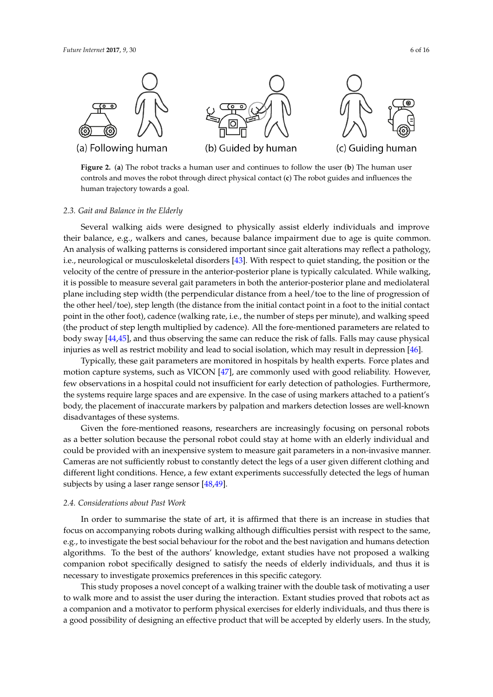<span id="page-5-1"></span>

**Figure 2.** (**a**) The robot tracks a human user and continues to follow the user (**b**) The human user controls and moves the robot through direct physical contact (**c**) The robot guides and influences the human trajectory towards a goal.

#### <span id="page-5-0"></span>*2.3. Gait and Balance in the Elderly*

Several walking aids were designed to physically assist elderly individuals and improve their balance, e.g., walkers and canes, because balance impairment due to age is quite common. An analysis of walking patterns is considered important since gait alterations may reflect a pathology, i.e., neurological or musculoskeletal disorders [\[43\]](#page-14-12). With respect to quiet standing, the position or the velocity of the centre of pressure in the anterior-posterior plane is typically calculated. While walking, it is possible to measure several gait parameters in both the anterior-posterior plane and mediolateral plane including step width (the perpendicular distance from a heel/toe to the line of progression of the other heel/toe), step length (the distance from the initial contact point in a foot to the initial contact point in the other foot), cadence (walking rate, i.e., the number of steps per minute), and walking speed (the product of step length multiplied by cadence). All the fore-mentioned parameters are related to body sway [\[44](#page-14-13)[,45\]](#page-14-14), and thus observing the same can reduce the risk of falls. Falls may cause physical injuries as well as restrict mobility and lead to social isolation, which may result in depression [\[46\]](#page-14-15).

Typically, these gait parameters are monitored in hospitals by health experts. Force plates and motion capture systems, such as VICON [\[47\]](#page-14-16), are commonly used with good reliability. However, few observations in a hospital could not insufficient for early detection of pathologies. Furthermore, the systems require large spaces and are expensive. In the case of using markers attached to a patient's body, the placement of inaccurate markers by palpation and markers detection losses are well-known disadvantages of these systems.

Given the fore-mentioned reasons, researchers are increasingly focusing on personal robots as a better solution because the personal robot could stay at home with an elderly individual and could be provided with an inexpensive system to measure gait parameters in a non-invasive manner. Cameras are not sufficiently robust to constantly detect the legs of a user given different clothing and different light conditions. Hence, a few extant experiments successfully detected the legs of human subjects by using a laser range sensor [\[48,](#page-14-17)[49\]](#page-14-18).

#### *2.4. Considerations about Past Work*

In order to summarise the state of art, it is affirmed that there is an increase in studies that focus on accompanying robots during walking although difficulties persist with respect to the same, e.g., to investigate the best social behaviour for the robot and the best navigation and humans detection algorithms. To the best of the authors' knowledge, extant studies have not proposed a walking companion robot specifically designed to satisfy the needs of elderly individuals, and thus it is necessary to investigate proxemics preferences in this specific category.

This study proposes a novel concept of a walking trainer with the double task of motivating a user to walk more and to assist the user during the interaction. Extant studies proved that robots act as a companion and a motivator to perform physical exercises for elderly individuals, and thus there is a good possibility of designing an effective product that will be accepted by elderly users. In the study,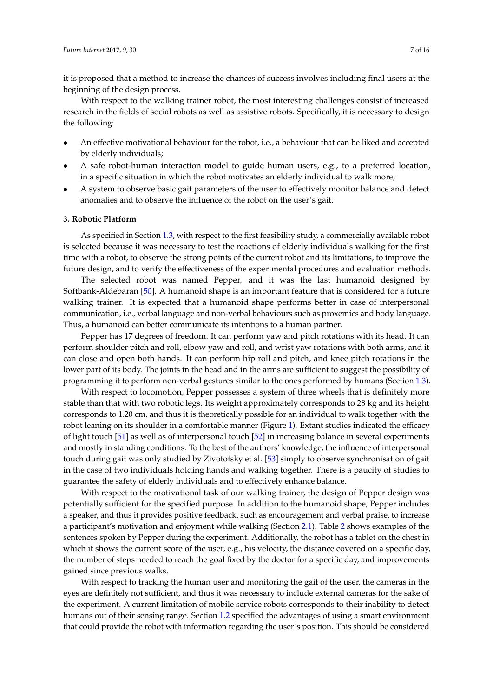it is proposed that a method to increase the chances of success involves including final users at the beginning of the design process.

With respect to the walking trainer robot, the most interesting challenges consist of increased research in the fields of social robots as well as assistive robots. Specifically, it is necessary to design the following:

- An effective motivational behaviour for the robot, i.e., a behaviour that can be liked and accepted by elderly individuals;
- A safe robot-human interaction model to guide human users, e.g., to a preferred location, in a specific situation in which the robot motivates an elderly individual to walk more;
- A system to observe basic gait parameters of the user to effectively monitor balance and detect anomalies and to observe the influence of the robot on the user's gait.

#### **3. Robotic Platform**

As specified in Section [1.3,](#page-2-1) with respect to the first feasibility study, a commercially available robot is selected because it was necessary to test the reactions of elderly individuals walking for the first time with a robot, to observe the strong points of the current robot and its limitations, to improve the future design, and to verify the effectiveness of the experimental procedures and evaluation methods.

The selected robot was named Pepper, and it was the last humanoid designed by Softbank-Aldebaran [\[50\]](#page-14-19). A humanoid shape is an important feature that is considered for a future walking trainer. It is expected that a humanoid shape performs better in case of interpersonal communication, i.e., verbal language and non-verbal behaviours such as proxemics and body language. Thus, a humanoid can better communicate its intentions to a human partner.

Pepper has 17 degrees of freedom. It can perform yaw and pitch rotations with its head. It can perform shoulder pitch and roll, elbow yaw and roll, and wrist yaw rotations with both arms, and it can close and open both hands. It can perform hip roll and pitch, and knee pitch rotations in the lower part of its body. The joints in the head and in the arms are sufficient to suggest the possibility of programming it to perform non-verbal gestures similar to the ones performed by humans (Section [1.3\)](#page-2-1).

With respect to locomotion, Pepper possesses a system of three wheels that is definitely more stable than that with two robotic legs. Its weight approximately corresponds to 28 kg and its height corresponds to 1.20 cm, and thus it is theoretically possible for an individual to walk together with the robot leaning on its shoulder in a comfortable manner (Figure [1\)](#page-2-0). Extant studies indicated the efficacy of light touch [\[51\]](#page-14-20) as well as of interpersonal touch [\[52\]](#page-15-0) in increasing balance in several experiments and mostly in standing conditions. To the best of the authors' knowledge, the influence of interpersonal touch during gait was only studied by Zivotofsky et al. [\[53\]](#page-15-1) simply to observe synchronisation of gait in the case of two individuals holding hands and walking together. There is a paucity of studies to guarantee the safety of elderly individuals and to effectively enhance balance.

With respect to the motivational task of our walking trainer, the design of Pepper design was potentially sufficient for the specified purpose. In addition to the humanoid shape, Pepper includes a speaker, and thus it provides positive feedback, such as encouragement and verbal praise, to increase a participant's motivation and enjoyment while walking (Section [2.1\)](#page-3-0). Table [2](#page-7-0) shows examples of the sentences spoken by Pepper during the experiment. Additionally, the robot has a tablet on the chest in which it shows the current score of the user, e.g., his velocity, the distance covered on a specific day, the number of steps needed to reach the goal fixed by the doctor for a specific day, and improvements gained since previous walks.

With respect to tracking the human user and monitoring the gait of the user, the cameras in the eyes are definitely not sufficient, and thus it was necessary to include external cameras for the sake of the experiment. A current limitation of mobile service robots corresponds to their inability to detect humans out of their sensing range. Section [1.2](#page-1-0) specified the advantages of using a smart environment that could provide the robot with information regarding the user's position. This should be considered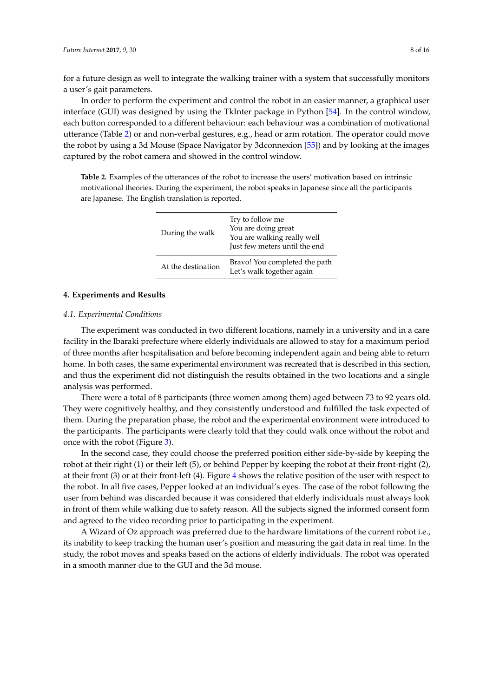for a future design as well to integrate the walking trainer with a system that successfully monitors a user's gait parameters.

In order to perform the experiment and control the robot in an easier manner, a graphical user interface (GUI) was designed by using the TkInter package in Python [\[54\]](#page-15-2). In the control window, each button corresponded to a different behaviour: each behaviour was a combination of motivational utterance (Table [2\)](#page-7-0) or and non-verbal gestures, e.g., head or arm rotation. The operator could move the robot by using a 3d Mouse (Space Navigator by 3dconnexion [\[55\]](#page-15-3)) and by looking at the images captured by the robot camera and showed in the control window.

<span id="page-7-0"></span>**Table 2.** Examples of the utterances of the robot to increase the users' motivation based on intrinsic motivational theories. During the experiment, the robot speaks in Japanese since all the participants are Japanese. The English translation is reported.

| During the walk    | Try to follow me<br>You are doing great<br>You are walking really well<br>Just few meters until the end |
|--------------------|---------------------------------------------------------------------------------------------------------|
| At the destination | Bravo! You completed the path<br>Let's walk together again                                              |

# **4. Experiments and Results**

## *4.1. Experimental Conditions*

The experiment was conducted in two different locations, namely in a university and in a care facility in the Ibaraki prefecture where elderly individuals are allowed to stay for a maximum period of three months after hospitalisation and before becoming independent again and being able to return home. In both cases, the same experimental environment was recreated that is described in this section, and thus the experiment did not distinguish the results obtained in the two locations and a single analysis was performed.

There were a total of 8 participants (three women among them) aged between 73 to 92 years old. They were cognitively healthy, and they consistently understood and fulfilled the task expected of them. During the preparation phase, the robot and the experimental environment were introduced to the participants. The participants were clearly told that they could walk once without the robot and once with the robot (Figure [3\)](#page-8-0).

In the second case, they could choose the preferred position either side-by-side by keeping the robot at their right (1) or their left (5), or behind Pepper by keeping the robot at their front-right (2), at their front (3) or at their front-left (4). Figure [4](#page-8-1) shows the relative position of the user with respect to the robot. In all five cases, Pepper looked at an individual's eyes. The case of the robot following the user from behind was discarded because it was considered that elderly individuals must always look in front of them while walking due to safety reason. All the subjects signed the informed consent form and agreed to the video recording prior to participating in the experiment.

A Wizard of Oz approach was preferred due to the hardware limitations of the current robot i.e., its inability to keep tracking the human user's position and measuring the gait data in real time. In the study, the robot moves and speaks based on the actions of elderly individuals. The robot was operated in a smooth manner due to the GUI and the 3d mouse.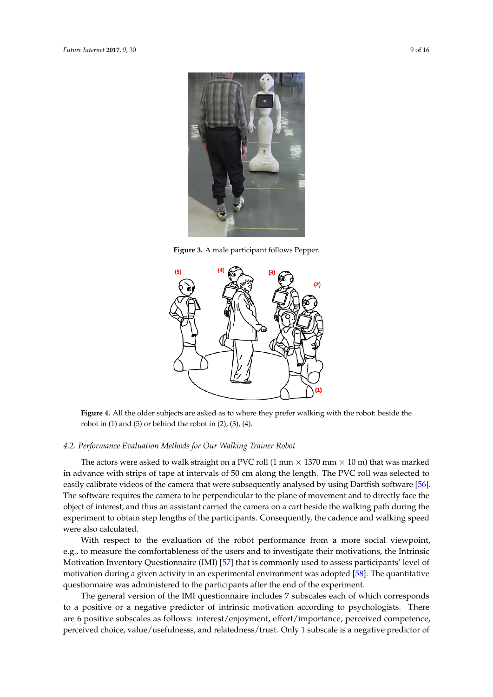<span id="page-8-0"></span>

**Figure 3.** A male participant follows Pepper.

<span id="page-8-1"></span>

**Figure 4.** All the older subjects are asked as to where they prefer walking with the robot: beside the robot in  $(1)$  and  $(5)$  or behind the robot in  $(2)$ ,  $(3)$ ,  $(4)$ .

## *4.2. Performance Evaluation Methods for Our Walking Trainer Robot*

The actors were asked to walk straight on a PVC roll (1 mm  $\times$  1370 mm  $\times$  10 m) that was marked in advance with strips of tape at intervals of 50 cm along the length. The PVC roll was selected to easily calibrate videos of the camera that were subsequently analysed by using Dartfish software [\[56\]](#page-15-4). The software requires the camera to be perpendicular to the plane of movement and to directly face the object of interest, and thus an assistant carried the camera on a cart beside the walking path during the experiment to obtain step lengths of the participants. Consequently, the cadence and walking speed were also calculated.

With respect to the evaluation of the robot performance from a more social viewpoint, e.g., to measure the comfortableness of the users and to investigate their motivations, the Intrinsic Motivation Inventory Questionnaire (IMI) [\[57\]](#page-15-5) that is commonly used to assess participants' level of motivation during a given activity in an experimental environment was adopted [\[58\]](#page-15-6). The quantitative questionnaire was administered to the participants after the end of the experiment.

The general version of the IMI questionnaire includes 7 subscales each of which corresponds to a positive or a negative predictor of intrinsic motivation according to psychologists. There are 6 positive subscales as follows: interest/enjoyment, effort/importance, perceived competence, perceived choice, value/usefulnesss, and relatedness/trust. Only 1 subscale is a negative predictor of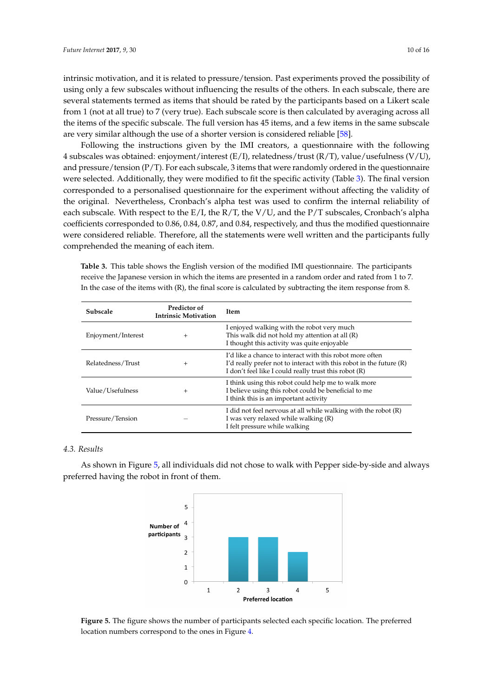intrinsic motivation, and it is related to pressure/tension. Past experiments proved the possibility of using only a few subscales without influencing the results of the others. In each subscale, there are several statements termed as items that should be rated by the participants based on a Likert scale from 1 (not at all true) to 7 (very true). Each subscale score is then calculated by averaging across all the items of the specific subscale. The full version has 45 items, and a few items in the same subscale are very similar although the use of a shorter version is considered reliable [\[58\]](#page-15-6).

Following the instructions given by the IMI creators, a questionnaire with the following 4 subscales was obtained: enjoyment/interest (E/I), relatedness/trust (R/T), value/usefulness (V/U), and pressure/tension (P/T). For each subscale, 3 items that were randomly ordered in the questionnaire were selected. Additionally, they were modified to fit the specific activity (Table [3\)](#page-9-0). The final version corresponded to a personalised questionnaire for the experiment without affecting the validity of the original. Nevertheless, Cronbach's alpha test was used to confirm the internal reliability of each subscale. With respect to the  $E/I$ , the  $R/T$ , the  $V/U$ , and the  $P/T$  subscales, Cronbach's alpha coefficients corresponded to 0.86, 0.84, 0.87, and 0.84, respectively, and thus the modified questionnaire were considered reliable. Therefore, all the statements were well written and the participants fully comprehended the meaning of each item.

<span id="page-9-0"></span>**Table 3.** This table shows the English version of the modified IMI questionnaire. The participants receive the Japanese version in which the items are presented in a random order and rated from 1 to 7. In the case of the items with (R), the final score is calculated by subtracting the item response from 8.

| Subscale           | Predictor of<br><b>Intrinsic Motivation</b> | <b>Item</b>                                                                                                                                                                              |  |  |
|--------------------|---------------------------------------------|------------------------------------------------------------------------------------------------------------------------------------------------------------------------------------------|--|--|
| Enjoyment/Interest | $+$                                         | I enjoyed walking with the robot very much<br>This walk did not hold my attention at all (R)<br>I thought this activity was quite enjoyable                                              |  |  |
| Relatedness/Trust  | $^{+}$                                      | I'd like a chance to interact with this robot more often<br>I'd really prefer not to interact with this robot in the future (R)<br>I don't feel like I could really trust this robot (R) |  |  |
| Value/Usefulness   | $^{+}$                                      | I think using this robot could help me to walk more<br>I believe using this robot could be beneficial to me<br>I think this is an important activity                                     |  |  |
| Pressure/Tension   |                                             | I did not feel nervous at all while walking with the robot (R)<br>I was very relaxed while walking (R)<br>I felt pressure while walking                                                  |  |  |

# *4.3. Results*

<span id="page-9-1"></span>As shown in Figure [5,](#page-9-1) all individuals did not chose to walk with Pepper side-by-side and always preferred having the robot in front of them.



**Figure 5.** The figure shows the number of participants selected each specific location. The preferred location numbers correspond to the ones in Figure [4.](#page-8-1)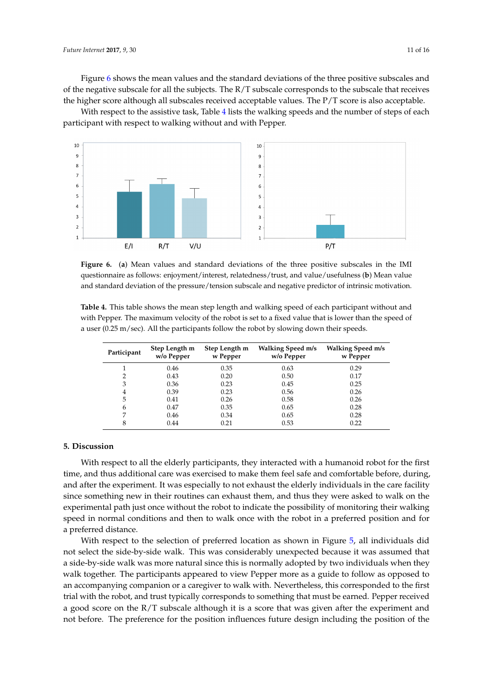Figure [6](#page-10-0) shows the mean values and the standard deviations of the three positive subscales and of the negative subscale for all the subjects. The R/T subscale corresponds to the subscale that receives the higher score although all subscales received acceptable values. The P/T score is also acceptable.

With respect to the assistive task, Table [4](#page-10-1) lists the walking speeds and the number of steps of each participant with respect to walking without and with Pepper.

<span id="page-10-0"></span>

**Figure 6.** (**a**) Mean values and standard deviations of the three positive subscales in the IMI questionnaire as follows: enjoyment/interest, relatedness/trust, and value/usefulness (**b**) Mean value and standard deviation of the pressure/tension subscale and negative predictor of intrinsic motivation.

<span id="page-10-1"></span>**Table 4.** This table shows the mean step length and walking speed of each participant without and with Pepper. The maximum velocity of the robot is set to a fixed value that is lower than the speed of a user (0.25 m/sec). All the participants follow the robot by slowing down their speeds.

| Participant | Step Length m<br>w/o Pepper | Step Length m<br>w Pepper | Walking Speed m/s<br>w/o Pepper | <b>Walking Speed m/s</b><br>w Pepper |
|-------------|-----------------------------|---------------------------|---------------------------------|--------------------------------------|
|             | 0.46                        | 0.35                      | 0.63                            | 0.29                                 |
|             | 0.43                        | 0.20                      | 0.50                            | 0.17                                 |
| 3           | 0.36                        | 0.23                      | 0.45                            | 0.25                                 |
| 4           | 0.39                        | 0.23                      | 0.56                            | 0.26                                 |
| 5           | 0.41                        | 0.26                      | 0.58                            | 0.26                                 |
| 6           | 0.47                        | 0.35                      | 0.65                            | 0.28                                 |
| 7           | 0.46                        | 0.34                      | 0.65                            | 0.28                                 |
| 8           | 0.44                        | 0.21                      | 0.53                            | 0.22                                 |

## **5. Discussion**

With respect to all the elderly participants, they interacted with a humanoid robot for the first time, and thus additional care was exercised to make them feel safe and comfortable before, during, and after the experiment. It was especially to not exhaust the elderly individuals in the care facility since something new in their routines can exhaust them, and thus they were asked to walk on the experimental path just once without the robot to indicate the possibility of monitoring their walking speed in normal conditions and then to walk once with the robot in a preferred position and for a preferred distance.

With respect to the selection of preferred location as shown in Figure [5,](#page-9-1) all individuals did not select the side-by-side walk. This was considerably unexpected because it was assumed that a side-by-side walk was more natural since this is normally adopted by two individuals when they walk together. The participants appeared to view Pepper more as a guide to follow as opposed to an accompanying companion or a caregiver to walk with. Nevertheless, this corresponded to the first trial with the robot, and trust typically corresponds to something that must be earned. Pepper received a good score on the R/T subscale although it is a score that was given after the experiment and not before. The preference for the position influences future design including the position of the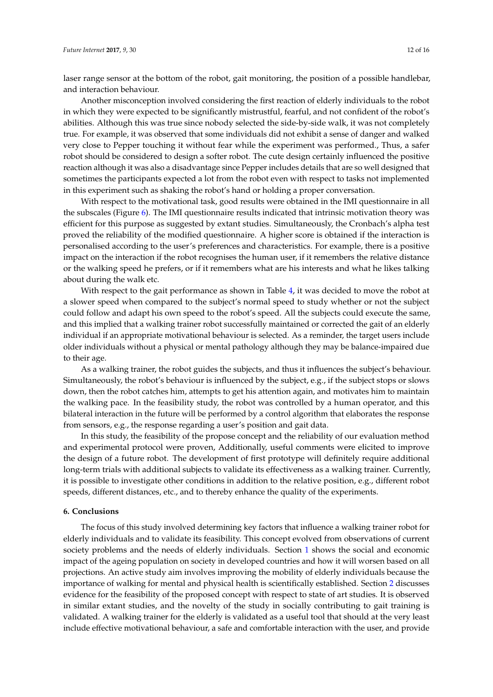laser range sensor at the bottom of the robot, gait monitoring, the position of a possible handlebar, and interaction behaviour.

Another misconception involved considering the first reaction of elderly individuals to the robot in which they were expected to be significantly mistrustful, fearful, and not confident of the robot's abilities. Although this was true since nobody selected the side-by-side walk, it was not completely true. For example, it was observed that some individuals did not exhibit a sense of danger and walked very close to Pepper touching it without fear while the experiment was performed., Thus, a safer robot should be considered to design a softer robot. The cute design certainly influenced the positive reaction although it was also a disadvantage since Pepper includes details that are so well designed that sometimes the participants expected a lot from the robot even with respect to tasks not implemented in this experiment such as shaking the robot's hand or holding a proper conversation.

With respect to the motivational task, good results were obtained in the IMI questionnaire in all the subscales (Figure [6\)](#page-10-0). The IMI questionnaire results indicated that intrinsic motivation theory was efficient for this purpose as suggested by extant studies. Simultaneously, the Cronbach's alpha test proved the reliability of the modified questionnaire. A higher score is obtained if the interaction is personalised according to the user's preferences and characteristics. For example, there is a positive impact on the interaction if the robot recognises the human user, if it remembers the relative distance or the walking speed he prefers, or if it remembers what are his interests and what he likes talking about during the walk etc.

With respect to the gait performance as shown in Table [4,](#page-10-1) it was decided to move the robot at a slower speed when compared to the subject's normal speed to study whether or not the subject could follow and adapt his own speed to the robot's speed. All the subjects could execute the same, and this implied that a walking trainer robot successfully maintained or corrected the gait of an elderly individual if an appropriate motivational behaviour is selected. As a reminder, the target users include older individuals without a physical or mental pathology although they may be balance-impaired due to their age.

As a walking trainer, the robot guides the subjects, and thus it influences the subject's behaviour. Simultaneously, the robot's behaviour is influenced by the subject, e.g., if the subject stops or slows down, then the robot catches him, attempts to get his attention again, and motivates him to maintain the walking pace. In the feasibility study, the robot was controlled by a human operator, and this bilateral interaction in the future will be performed by a control algorithm that elaborates the response from sensors, e.g., the response regarding a user's position and gait data.

In this study, the feasibility of the propose concept and the reliability of our evaluation method and experimental protocol were proven, Additionally, useful comments were elicited to improve the design of a future robot. The development of first prototype will definitely require additional long-term trials with additional subjects to validate its effectiveness as a walking trainer. Currently, it is possible to investigate other conditions in addition to the relative position, e.g., different robot speeds, different distances, etc., and to thereby enhance the quality of the experiments.

## **6. Conclusions**

The focus of this study involved determining key factors that influence a walking trainer robot for elderly individuals and to validate its feasibility. This concept evolved from observations of current society problems and the needs of elderly individuals. Section [1](#page-0-1) shows the social and economic impact of the ageing population on society in developed countries and how it will worsen based on all projections. An active study aim involves improving the mobility of elderly individuals because the importance of walking for mental and physical health is scientifically established. Section [2](#page-3-1) discusses evidence for the feasibility of the proposed concept with respect to state of art studies. It is observed in similar extant studies, and the novelty of the study in socially contributing to gait training is validated. A walking trainer for the elderly is validated as a useful tool that should at the very least include effective motivational behaviour, a safe and comfortable interaction with the user, and provide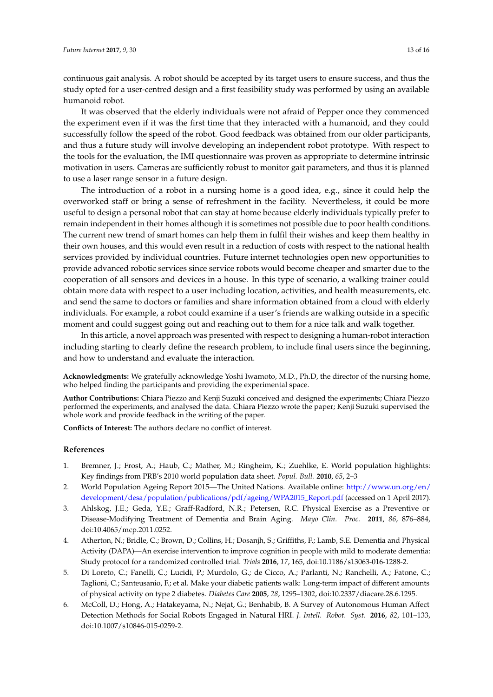continuous gait analysis. A robot should be accepted by its target users to ensure success, and thus the study opted for a user-centred design and a first feasibility study was performed by using an available humanoid robot.

It was observed that the elderly individuals were not afraid of Pepper once they commenced the experiment even if it was the first time that they interacted with a humanoid, and they could successfully follow the speed of the robot. Good feedback was obtained from our older participants, and thus a future study will involve developing an independent robot prototype. With respect to the tools for the evaluation, the IMI questionnaire was proven as appropriate to determine intrinsic motivation in users. Cameras are sufficiently robust to monitor gait parameters, and thus it is planned to use a laser range sensor in a future design.

The introduction of a robot in a nursing home is a good idea, e.g., since it could help the overworked staff or bring a sense of refreshment in the facility. Nevertheless, it could be more useful to design a personal robot that can stay at home because elderly individuals typically prefer to remain independent in their homes although it is sometimes not possible due to poor health conditions. The current new trend of smart homes can help them in fulfil their wishes and keep them healthy in their own houses, and this would even result in a reduction of costs with respect to the national health services provided by individual countries. Future internet technologies open new opportunities to provide advanced robotic services since service robots would become cheaper and smarter due to the cooperation of all sensors and devices in a house. In this type of scenario, a walking trainer could obtain more data with respect to a user including location, activities, and health measurements, etc. and send the same to doctors or families and share information obtained from a cloud with elderly individuals. For example, a robot could examine if a user's friends are walking outside in a specific moment and could suggest going out and reaching out to them for a nice talk and walk together.

In this article, a novel approach was presented with respect to designing a human-robot interaction including starting to clearly define the research problem, to include final users since the beginning, and how to understand and evaluate the interaction.

**Acknowledgments:** We gratefully acknowledge Yoshi Iwamoto, M.D., Ph.D, the director of the nursing home, who helped finding the participants and providing the experimental space.

**Author Contributions:** Chiara Piezzo and Kenji Suzuki conceived and designed the experiments; Chiara Piezzo performed the experiments, and analysed the data. Chiara Piezzo wrote the paper; Kenji Suzuki supervised the whole work and provide feedback in the writing of the paper.

**Conflicts of Interest:** The authors declare no conflict of interest.

## **References**

- <span id="page-12-0"></span>1. Bremner, J.; Frost, A.; Haub, C.; Mather, M.; Ringheim, K.; Zuehlke, E. World population highlights: Key findings from PRB's 2010 world population data sheet. *Popul. Bull.* **2010**, *65*, 2–3
- <span id="page-12-1"></span>2. World Population Ageing Report 2015—The United Nations. Available online: [http://www.un.org/en/]( http://www.un.org/en/development/desa/population/publications/pdf/ageing/WPA2015_Report.pdf) [development/desa/population/publications/pdf/ageing/WPA2015\\_Report.pdf]( http://www.un.org/en/development/desa/population/publications/pdf/ageing/WPA2015_Report.pdf) (accessed on 1 April 2017).
- <span id="page-12-2"></span>3. Ahlskog, J.E.; Geda, Y.E.; Graff-Radford, N.R.; Petersen, R.C. Physical Exercise as a Preventive or Disease-Modifying Treatment of Dementia and Brain Aging. *Mayo Clin. Proc.* **2011**, *86*, 876–884, doi:10.4065/mcp.2011.0252.
- <span id="page-12-3"></span>4. Atherton, N.; Bridle, C.; Brown, D.; Collins, H.; Dosanjh, S.; Griffiths, F.; Lamb, S.E. Dementia and Physical Activity (DAPA)—An exercise intervention to improve cognition in people with mild to moderate dementia: Study protocol for a randomized controlled trial. *Trials* **2016**, *17*, 165, doi:10.1186/s13063-016-1288-2.
- <span id="page-12-4"></span>5. Di Loreto, C.; Fanelli, C.; Lucidi, P.; Murdolo, G.; de Cicco, A.; Parlanti, N.; Ranchelli, A.; Fatone, C.; Taglioni, C.; Santeusanio, F.; et al. Make your diabetic patients walk: Long-term impact of different amounts of physical activity on type 2 diabetes. *Diabetes Care* **2005**, *28*, 1295–1302, doi:10.2337/diacare.28.6.1295.
- <span id="page-12-5"></span>6. McColl, D.; Hong, A.; Hatakeyama, N.; Nejat, G.; Benhabib, B. A Survey of Autonomous Human Affect Detection Methods for Social Robots Engaged in Natural HRI. *J. Intell. Robot. Syst.* **2016**, *82*, 101–133, doi:10.1007/s10846-015-0259-2.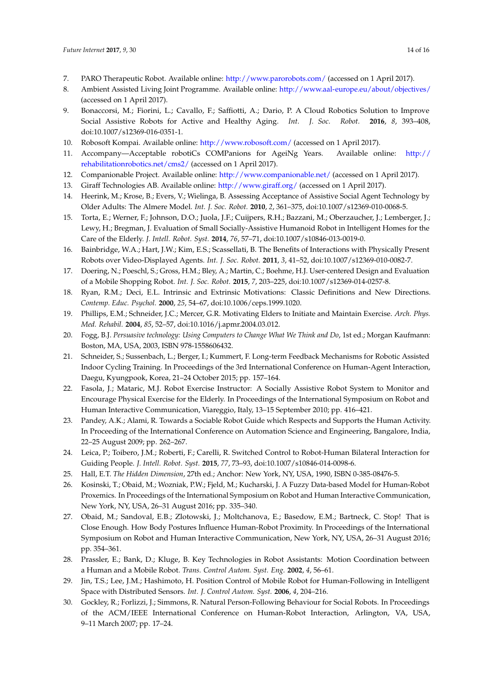- <span id="page-13-0"></span>7. PARO Therapeutic Robot. Available online: [http://www.parorobots.com/]( http://www.parorobots.com/) (accessed on 1 April 2017).
- <span id="page-13-1"></span>8. Ambient Assisted Living Joint Programme. Available online: [http://www.aal-europe.eu/about/objectives/]( http://www.aal-europe.eu/about/objectives/) (accessed on 1 April 2017).
- <span id="page-13-2"></span>9. Bonaccorsi, M.; Fiorini, L.; Cavallo, F.; Saffiotti, A.; Dario, P. A Cloud Robotics Solution to Improve Social Assistive Robots for Active and Healthy Aging. *Int. J. Soc. Robot.* **2016**, *8*, 393–408, doi:10.1007/s12369-016-0351-1.
- <span id="page-13-3"></span>10. Robosoft Kompai. Available online: [http://www.robosoft.com/]( http://www.robosoft.com/) (accessed on 1 April 2017).
- <span id="page-13-4"></span>11. Accompany—Acceptable robotiCs COMPanions for AgeiNg Years. Available online: [http://]( http://rehabilitationrobotics.net/cms2/) [rehabilitationrobotics.net/cms2/]( http://rehabilitationrobotics.net/cms2/) (accessed on 1 April 2017).
- <span id="page-13-5"></span>12. Companionable Project. Available online: <http://www.companionable.net/> (accessed on 1 April 2017).
- <span id="page-13-6"></span>13. Giraff Technologies AB. Available online: [http://www.giraff.org/]( http://www.giraff.org/) (accessed on 1 April 2017).
- <span id="page-13-7"></span>14. Heerink, M.; Krose, B.; Evers, V.; Wielinga, B. Assessing Acceptance of Assistive Social Agent Technology by Older Adults: The Almere Model. *Int. J. Soc. Robot.* **2010**, *2*, 361–375, doi:10.1007/s12369-010-0068-5.
- <span id="page-13-8"></span>15. Torta, E.; Werner, F.; Johnson, D.O.; Juola, J.F.; Cuijpers, R.H.; Bazzani, M.; Oberzaucher, J.; Lemberger, J.; Lewy, H.; Bregman, J. Evaluation of Small Socially-Assistive Humanoid Robot in Intelligent Homes for the Care of the Elderly. *J. Intell. Robot. Syst.* **2014**, *76*, 57–71, doi:10.1007/s10846-013-0019-0.
- <span id="page-13-9"></span>16. Bainbridge, W.A.; Hart, J.W.; Kim, E.S.; Scassellati, B. The Benefits of Interactions with Physically Present Robots over Video-Displayed Agents. *Int. J. Soc. Robot.* **2011**, *3*, 41–52, doi:10.1007/s12369-010-0082-7.
- <span id="page-13-10"></span>17. Doering, N.; Poeschl, S.; Gross, H.M.; Bley, A.; Martin, C.; Boehme, H.J. User-centered Design and Evaluation of a Mobile Shopping Robot. *Int. J. Soc. Robot.* **2015**, *7*, 203–225, doi:10.1007/s12369-014-0257-8.
- <span id="page-13-11"></span>18. Ryan, R.M.; Deci, E.L. Intrinsic and Extrinsic Motivations: Classic Definitions and New Directions. *Contemp. Educ. Psychol.* **2000**, *25*, 54–67, doi:10.1006/ceps.1999.1020.
- <span id="page-13-12"></span>19. Phillips, E.M.; Schneider, J.C.; Mercer, G.R. Motivating Elders to Initiate and Maintain Exercise. *Arch. Phys. Med. Rehabil.* **2004**, *85*, 52–57, doi:10.1016/j.apmr.2004.03.012.
- <span id="page-13-13"></span>20. Fogg, B.J. *Persuasive technology: Using Computers to Change What We Think and Do*, 1st ed.; Morgan Kaufmann: Boston, MA, USA, 2003, ISBN 978-1558606432.
- <span id="page-13-14"></span>21. Schneider, S.; Sussenbach, L.; Berger, I.; Kummert, F. Long-term Feedback Mechanisms for Robotic Assisted Indoor Cycling Training. In Proceedings of the 3rd International Conference on Human-Agent Interaction, Daegu, Kyungpook, Korea, 21–24 October 2015; pp. 157–164.
- <span id="page-13-15"></span>22. Fasola, J.; Mataric, M.J. Robot Exercise Instructor: A Socially Assistive Robot System to Monitor and Encourage Physical Exercise for the Elderly. In Proceedings of the International Symposium on Robot and Human Interactive Communication, Viareggio, Italy, 13–15 September 2010; pp. 416–421.
- <span id="page-13-16"></span>23. Pandey, A.K.; Alami, R. Towards a Sociable Robot Guide which Respects and Supports the Human Activity. In Proceeding of the International Conference on Automation Science and Engineering, Bangalore, India, 22–25 August 2009; pp. 262–267.
- <span id="page-13-17"></span>24. Leica, P.; Toibero, J.M.; Roberti, F.; Carelli, R. Switched Control to Robot-Human Bilateral Interaction for Guiding People. *J. Intell. Robot. Syst.* **2015**, *77*, 73–93, doi:10.1007/s10846-014-0098-6.
- <span id="page-13-18"></span>25. Hall, E.T. *The Hidden Dimension*, 27th ed.; Anchor: New York, NY, USA, 1990, ISBN 0-385-08476-5.
- <span id="page-13-19"></span>26. Kosinski, T.; Obaid, M.; Wozniak, P.W.; Fjeld, M.; Kucharski, J. A Fuzzy Data-based Model for Human-Robot Proxemics. In Proceedings of the International Symposium on Robot and Human Interactive Communication, New York, NY, USA, 26–31 August 2016; pp. 335–340.
- <span id="page-13-20"></span>27. Obaid, M.; Sandoval, E.B.; Zlotowski, J.; Moltchanova, E.; Basedow, E.M.; Bartneck, C. Stop! That is Close Enough. How Body Postures Influence Human-Robot Proximity. In Proceedings of the International Symposium on Robot and Human Interactive Communication, New York, NY, USA, 26–31 August 2016; pp. 354–361.
- <span id="page-13-21"></span>28. Prassler, E.; Bank, D.; Kluge, B. Key Technologies in Robot Assistants: Motion Coordination between a Human and a Mobile Robot. *Trans. Control Autom. Syst. Eng.* **2002**, *4*, 56–61.
- <span id="page-13-22"></span>29. Jin, T.S.; Lee, J.M.; Hashimoto, H. Position Control of Mobile Robot for Human-Following in Intelligent Space with Distributed Sensors. *Int. J. Control Autom. Syst.* **2006**, *4*, 204–216.
- <span id="page-13-23"></span>30. Gockley, R.; Forlizzi, J.; Simmons, R. Natural Person-Following Behaviour for Social Robots. In Proceedings of the ACM/IEEE International Conference on Human-Robot Interaction, Arlington, VA, USA, 9–11 March 2007; pp. 17–24.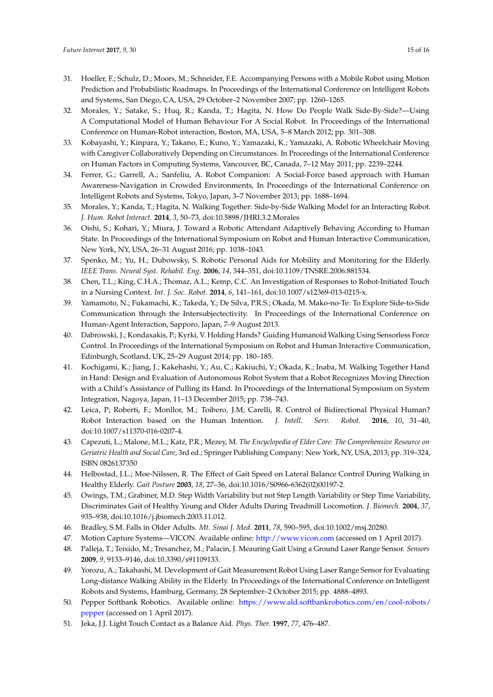- <span id="page-14-0"></span>31. Hoeller, F.; Schulz, D.; Moors, M.; Schneider, F.E. Accompanying Persons with a Mobile Robot using Motion Prediction and Probabilistic Roadmaps. In Proceedings of the International Conference on Intelligent Robots and Systems, San Diego, CA, USA, 29 October–2 November 2007; pp. 1260–1265.
- <span id="page-14-1"></span>32. Morales, Y.; Satake, S.; Huq, R.; Kanda, T.; Hagita, N. How Do People Walk Side-By-Side?—Using A Computational Model of Human Behaviour For A Social Robot. In Proceedings of the International Conference on Human-Robot interaction, Boston, MA, USA, 5–8 March 2012; pp. 301–308.
- <span id="page-14-2"></span>33. Kobayashi, Y.; Kinpara, Y.; Takano, E.; Kuno, Y.; Yamazaki, K.; Yamazaki, A. Robotic Wheelchair Moving with Caregiver Collaboratively Depending on Circumstances. In Proceedings of the International Conference on Human Factors in Computing Systems, Vancouver, BC, Canada, 7–12 May 2011; pp. 2239–2244.
- <span id="page-14-3"></span>34. Ferrer, G.; Garrell, A.; Sanfeliu, A. Robot Companion: A Social-Force based approach with Human Awareness-Navigation in Crowded Environments, In Proceedings of the International Conference on Intelligent Robots and Systems, Tokyo, Japan, 3–7 November 2013; pp. 1688–1694.
- <span id="page-14-4"></span>35. Morales, Y.; Kanda, T.; Hagita, N. Walking Together: Side-by-Side Walking Model for an Interacting Robot. *J. Hum. Robot Interact.* **2014**, *3*, 50–73, doi:10.5898/JHRI.3.2.Morales
- <span id="page-14-5"></span>36. Oishi, S.; Kohari, Y.; Miura, J. Toward a Robotic Attendant Adaptively Behaving According to Human State. In Proceedings of the International Symposium on Robot and Human Interactive Communication, New York, NY, USA, 26–31 August 2016; pp. 1038–1043.
- <span id="page-14-6"></span>37. Spenko, M.; Yu, H.; Dubowsky, S. Robotic Personal Aids for Mobility and Monitoring for the Elderly. *IEEE Trans. Neural Syst. Rehabil. Eng.* **2006**, *14*, 344–351, doi:10.1109/TNSRE.2006.881534.
- <span id="page-14-7"></span>38. Chen, T.L.; King, C.H.A.; Thomaz, A.L.; Kemp, C.C. An Investigation of Responses to Robot-Initiated Touch in a Nursing Context. *Int. J. Soc. Robot.* **2014**, *6*, 141–161, doi:10.1007/s12369-013-0215-x.
- <span id="page-14-8"></span>39. Yamamoto, N.; Fukamachi, K.; Takeda, Y.; De Silva, P.R.S.; Okada, M. Mako-no-Te: To Explore Side-to-Side Communication through the Intersubjectectivity. In Proceedings of the International Conference on Human-Agent Interaction, Sapporo, Japan, 7–9 August 2013.
- <span id="page-14-9"></span>40. Dabrowski, J.; Kondaxakis, P.; Kyrki, V. Holding Hands? Guiding Humanoid Walking Using Sensorless Force Control. In Proceedings of the International Symposium on Robot and Human Interactive Communication, Edinburgh, Scotland, UK, 25–29 August 2014; pp. 180–185.
- <span id="page-14-10"></span>41. Kochigami, K.; Jiang, J.; Kakehashi, Y.; Au, C.; Kakiuchi, Y.; Okada, K.; Inaba, M. Walking Together Hand in Hand: Design and Evaluation of Autonomous Robot System that a Robot Recognizes Moving Direction with a Child's Assistance of Pulling its Hand. In Proceedings of the International Symposium on System Integration, Nagoya, Japan, 11–13 December 2015; pp. 738–743.
- <span id="page-14-11"></span>42. Leica, P; Roberti, F.; Monllor, M.; Toibero, J.M; Carelli, R. Control of Bidirectional Physical Human? Robot Interaction based on the Human Intention. *J. Intell. Serv. Robot.* **2016**, *10*, 31–40, doi:10.1007/s11370-016-0207-4.
- <span id="page-14-12"></span>43. Capezuti, L.; Malone, M.L.; Katz, P.R.; Mezey, M. *The Encyclopedia of Elder Care: The Comprehensive Resource on Geriatric Health and Social Care*, 3rd ed.; Springer Publishing Company: New York, NY, USA, 2013; pp. 319–324, ISBN 0826137350
- <span id="page-14-13"></span>44. Helbostad, J.L.; Moe-Nilssen, R. The Effect of Gait Speed on Lateral Balance Control During Walking in Healthy Elderly. *Gait Posture* **2003**, *18*, 27–36, doi:10.1016/S0966-6362(02)00197-2.
- <span id="page-14-14"></span>45. Owings, T.M.; Grabiner, M.D. Step Width Variability but not Step Length Variability or Step Time Variability, Discriminates Gait of Healthy Young and Older Adults During Treadmill Locomotion. *J. Biomech.* **2004**, *37*, 935–938, doi:10.1016/j.jbiomech.2003.11.012.
- <span id="page-14-15"></span>46. Bradley, S.M. Falls in Older Adults. *Mt. Sinai J. Med.* **2011**, *78*, 590–595, doi:10.1002/msj.20280.
- <span id="page-14-16"></span>47. Motion Capture Systems—VICON. Available online: [http://www.vicon.com]( http://www.vicon.com) (accessed on 1 April 2017).
- <span id="page-14-17"></span>48. Palleja, T.; Teixido, M.; Tresanchez, M.; Palacin, J. Meauring Gait Using a Ground Laser Range Sensor. *Sensors* **2009**, *9*, 9133–9146, doi:10.3390/s91109133.
- <span id="page-14-18"></span>49. Yorozu, A.; Takahashi, M. Development of Gait Measurement Robot Using Laser Range Sensor for Evaluating Long-distance Walking Ability in the Elderly. In Proceedings of the International Conference on Intelligent Robots and Systems, Hamburg, Germany, 28 September–2 October 2015; pp. 4888–4893.
- <span id="page-14-19"></span>50. Pepper Softbank Robotics. Available online: [https://www.ald.softbankrobotics.com/en/cool-robots/]( https://www.ald.softbankrobotics.com/en/cool-robots/pepper) [pepper]( https://www.ald.softbankrobotics.com/en/cool-robots/pepper) (accessed on 1 April 2017).
- <span id="page-14-20"></span>51. Jeka, J.J. Light Touch Contact as a Balance Aid. *Phys. Ther.* **1997**, *77*, 476–487.